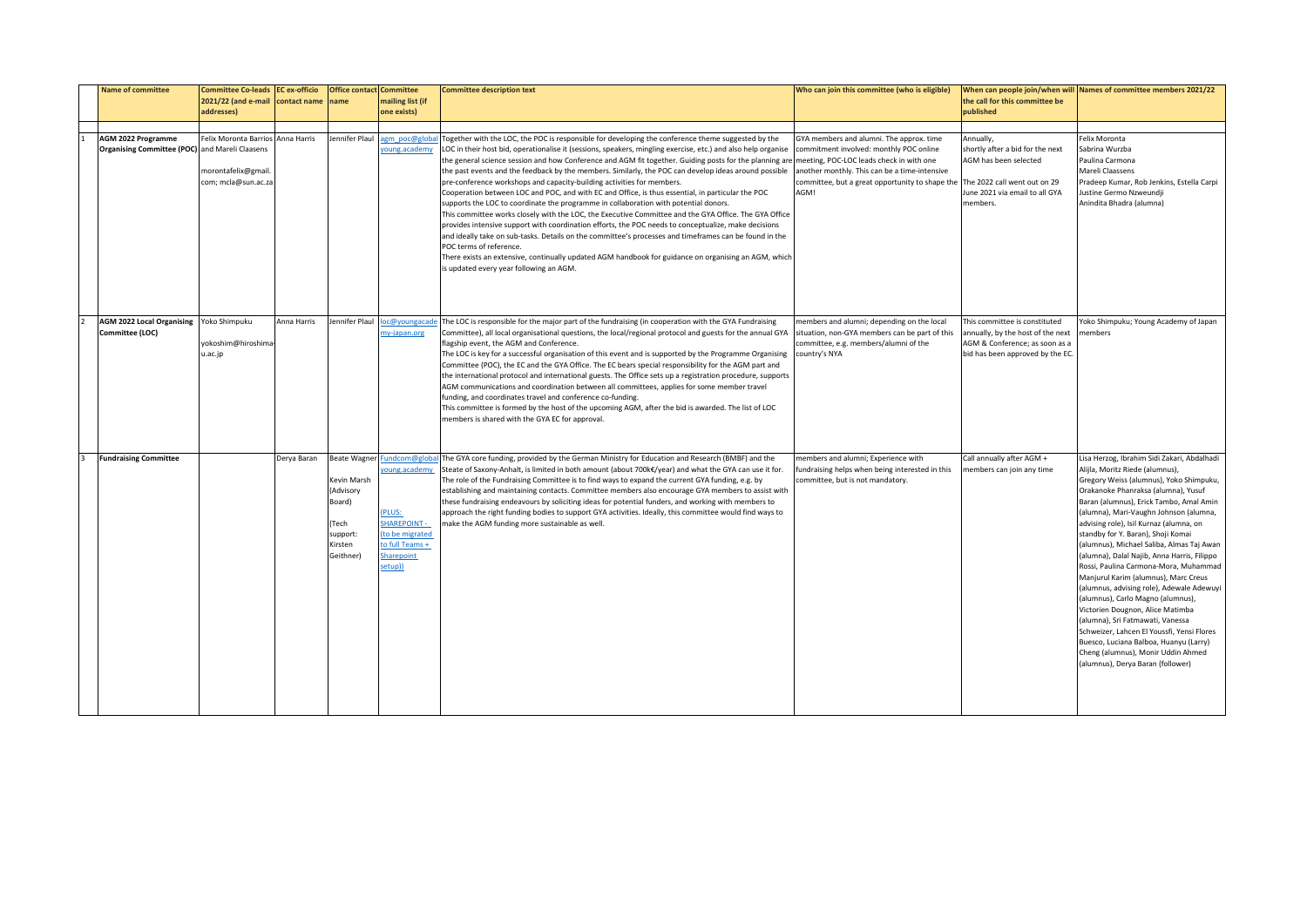| <b>Name of committee</b>                                                    | <b>Committee Co-leads EC ex-officio</b><br>2021/22 (and e-mail                  | contact name | <b>Office contact Committee</b><br>name                                                               | mailing list (if                                                                                                                    | <b>Committee description text</b>                                                                                                                                                                                                                                                                                                                                                                                                                                                                                                                                                                                                                                                                                                                                                                                                                                                                                                                                                                                                                                                                                                                                                                                                                                | Who can join this committee (who is eligible)                                                                                                                                                   | the call for this committee be                                                                                                                       | When can people join/when will Names of committee members 2021/22                                                                                                                                                                                                                                                                                                                                                                                                                                                                                                                                                                                                                                                                                                                                                                                |
|-----------------------------------------------------------------------------|---------------------------------------------------------------------------------|--------------|-------------------------------------------------------------------------------------------------------|-------------------------------------------------------------------------------------------------------------------------------------|------------------------------------------------------------------------------------------------------------------------------------------------------------------------------------------------------------------------------------------------------------------------------------------------------------------------------------------------------------------------------------------------------------------------------------------------------------------------------------------------------------------------------------------------------------------------------------------------------------------------------------------------------------------------------------------------------------------------------------------------------------------------------------------------------------------------------------------------------------------------------------------------------------------------------------------------------------------------------------------------------------------------------------------------------------------------------------------------------------------------------------------------------------------------------------------------------------------------------------------------------------------|-------------------------------------------------------------------------------------------------------------------------------------------------------------------------------------------------|------------------------------------------------------------------------------------------------------------------------------------------------------|--------------------------------------------------------------------------------------------------------------------------------------------------------------------------------------------------------------------------------------------------------------------------------------------------------------------------------------------------------------------------------------------------------------------------------------------------------------------------------------------------------------------------------------------------------------------------------------------------------------------------------------------------------------------------------------------------------------------------------------------------------------------------------------------------------------------------------------------------|
|                                                                             | addresses)                                                                      |              |                                                                                                       | one exists)                                                                                                                         |                                                                                                                                                                                                                                                                                                                                                                                                                                                                                                                                                                                                                                                                                                                                                                                                                                                                                                                                                                                                                                                                                                                                                                                                                                                                  |                                                                                                                                                                                                 | published                                                                                                                                            |                                                                                                                                                                                                                                                                                                                                                                                                                                                                                                                                                                                                                                                                                                                                                                                                                                                  |
|                                                                             |                                                                                 |              |                                                                                                       |                                                                                                                                     |                                                                                                                                                                                                                                                                                                                                                                                                                                                                                                                                                                                                                                                                                                                                                                                                                                                                                                                                                                                                                                                                                                                                                                                                                                                                  |                                                                                                                                                                                                 |                                                                                                                                                      |                                                                                                                                                                                                                                                                                                                                                                                                                                                                                                                                                                                                                                                                                                                                                                                                                                                  |
| <b>AGM 2022 Programme</b><br>Organising Committee (POC) and Mareli Claasens | Felix Moronta Barrios Anna Harris<br>morontafelix@gmail.<br>com; mcla@sun.ac.za |              | lennifer Plaul                                                                                        | gm poc@glob<br>oung.academy                                                                                                         | Together with the LOC, the POC is responsible for developing the conference theme suggested by the<br>LOC in their host bid, operationalise it (sessions, speakers, mingling exercise, etc.) and also help organise<br>the general science session and how Conference and AGM fit together. Guiding posts for the planning are meeting, POC-LOC leads check in with one<br>the past events and the feedback by the members. Similarly, the POC can develop ideas around possible<br>pre-conference workshops and capacity-building activities for members.<br>Cooperation between LOC and POC, and with EC and Office, is thus essential, in particular the POC<br>supports the LOC to coordinate the programme in collaboration with potential donors.<br>This committee works closely with the LOC, the Executive Committee and the GYA Office. The GYA Office<br>provides intensive support with coordination efforts, the POC needs to conceptualize, make decisions<br>and ideally take on sub-tasks. Details on the committee's processes and timeframes can be found in the<br>POC terms of reference.<br>There exists an extensive, continually updated AGM handbook for guidance on organising an AGM, which<br>is updated every year following an AGM. | GYA members and alumni. The approx. time<br>commitment involved: monthly POC online<br>another monthly. This can be a time-intensive<br>committee, but a great opportunity to shape the<br>AGM! | Annually,<br>shortly after a bid for the next<br>AGM has been selected<br>The 2022 call went out on 29<br>June 2021 via email to all GYA<br>members. | Felix Moronta<br>Sabrina Wurzba<br>Paulina Carmona<br>Mareli Claassens<br>Pradeep Kumar, Rob Jenkins, Estella Carpi<br>lustine Germo Nzweundji<br>Anindita Bhadra (alumna)                                                                                                                                                                                                                                                                                                                                                                                                                                                                                                                                                                                                                                                                       |
| AGM 2022 Local Organising Yoko Shimpuku<br>Committee (LOC)                  | yokoshim@hiroshima-<br>u.ac.jp                                                  | Anna Harris  | ennifer Plau                                                                                          | oc@youngacad<br>my-japan.org                                                                                                        | The LOC is responsible for the major part of the fundraising (in cooperation with the GYA Fundraising<br>Committee), all local organisational questions, the local/regional protocol and guests for the annual GYA<br>flagship event, the AGM and Conference.<br>The LOC is key for a successful organisation of this event and is supported by the Programme Organising<br>Committee (POC), the EC and the GYA Office. The EC bears special responsibility for the AGM part and<br>the international protocol and international guests. The Office sets up a registration procedure, supports<br>AGM communications and coordination between all committees, applies for some member travel<br>funding, and coordinates travel and conference co-funding.<br>This committee is formed by the host of the upcoming AGM, after the bid is awarded. The list of LOC<br>members is shared with the GYA EC for approval.                                                                                                                                                                                                                                                                                                                                             | members and alumni; depending on the local<br>situation, non-GYA members can be part of this<br>committee, e.g. members/alumni of the<br>country's NYA                                          | This committee is constituted<br>annually, by the host of the next<br>AGM & Conference; as soon as a<br>bid has been approved by the EC              | oko Shimpuku; Young Academy of Japan<br>nembers                                                                                                                                                                                                                                                                                                                                                                                                                                                                                                                                                                                                                                                                                                                                                                                                  |
| <b>Fundraising Committee</b>                                                |                                                                                 | Derya Baran  | <b>Beate Wagner</b><br>Kevin Marsh<br>(Advisory<br>Board)<br>Tech<br>support:<br>Kirsten<br>Geithner) | Fundcom@glob<br>oung.academy<br>(PLUS:<br><b>SHAREPOINT -</b><br>(to be migrated<br>to full Teams +<br><b>Sharepoint</b><br>setup)) | The GYA core funding, provided by the German Ministry for Education and Research (BMBF) and the<br>Steate of Saxony-Anhalt, is limited in both amount (about 700k€/year) and what the GYA can use it for.<br>The role of the Fundraising Committee is to find ways to expand the current GYA funding, e.g. by<br>establishing and maintaining contacts. Committee members also encourage GYA members to assist with<br>these fundraising endeavours by soliciting ideas for potential funders, and working with members to<br>approach the right funding bodies to support GYA activities. Ideally, this committee would find ways to<br>make the AGM funding more sustainable as well.                                                                                                                                                                                                                                                                                                                                                                                                                                                                                                                                                                          | members and alumni; Experience with<br>fundraising helps when being interested in this<br>committee, but is not mandatory                                                                       | Call annually after AGM +<br>members can join any time                                                                                               | Lisa Herzog, Ibrahim Sidi Zakari, Abdalhadi<br>Alijla, Moritz Riede (alumnus),<br>Gregory Weiss (alumnus), Yoko Shimpuku,<br>Orakanoke Phanraksa (alumna), Yusuf<br>Baran (alumnus), Erick Tambo, Amal Amin<br>(alumna), Mari-Vaughn Johnson (alumna,<br>advising role), Isil Kurnaz (alumna, on<br>standby for Y. Baran), Shoji Komai<br>(alumnus), Michael Saliba, Almas Taj Awan<br>(alumna), Dalal Najib, Anna Harris, Filippo<br>Rossi, Paulina Carmona-Mora, Muhammad<br>Manjurul Karim (alumnus), Marc Creus<br>(alumnus, advising role), Adewale Adewuyi<br>(alumnus), Carlo Magno (alumnus),<br>Victorien Dougnon, Alice Matimba<br>(alumna), Sri Fatmawati, Vanessa<br>Schweizer, Lahcen El Youssfi, Yensi Flores<br>Buesco, Luciana Balboa, Huanyu (Larry)<br>Cheng (alumnus), Monir Uddin Ahmed<br>(alumnus), Derya Baran (follower) |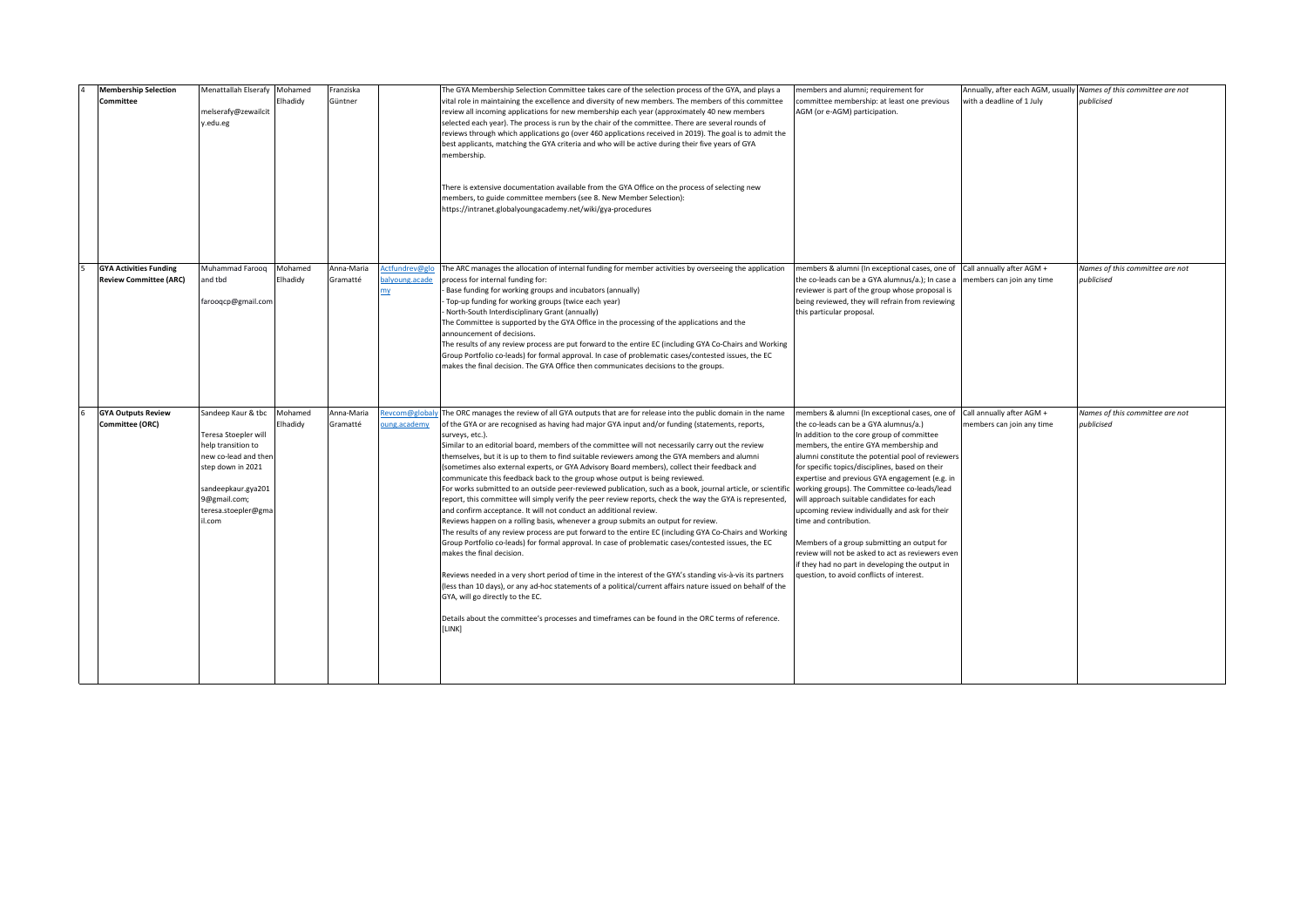| <b>Membership Selection</b><br>Committee                       | Menattallah Elserafy Mohamed<br>melserafy@zewailcit<br>edu.eg/                                                                                                                      | Elhadidy            | Franziska<br>Güntner   |                                        | The GYA Membership Selection Committee takes care of the selection process of the GYA, and plays a<br>vital role in maintaining the excellence and diversity of new members. The members of this committee<br>review all incoming applications for new membership each year (approximately 40 new members<br>selected each year). The process is run by the chair of the committee. There are several rounds of<br>reviews through which applications go (over 460 applications received in 2019). The goal is to admit the<br>best applicants, matching the GYA criteria and who will be active during their five years of GYA<br>membership.<br>There is extensive documentation available from the GYA Office on the process of selecting new<br>members, to guide committee members (see 8. New Member Selection):<br>https://intranet.globalyoungacademy.net/wiki/gya-procedures                                                                                                                                                                                                                                                                                                                                                                                                                                                                                                                                                                                                                                                                                                                                                | members and alumni; requirement for<br>committee membership: at least one previous<br>AGM (or e-AGM) participation.                                                                                                                                                                                                                                                                                                                                                                                                                                                                                                                                                                                                     | with a deadline of 1 July                              | Annually, after each AGM, usually Names of this committee are not<br>publicised |
|----------------------------------------------------------------|-------------------------------------------------------------------------------------------------------------------------------------------------------------------------------------|---------------------|------------------------|----------------------------------------|--------------------------------------------------------------------------------------------------------------------------------------------------------------------------------------------------------------------------------------------------------------------------------------------------------------------------------------------------------------------------------------------------------------------------------------------------------------------------------------------------------------------------------------------------------------------------------------------------------------------------------------------------------------------------------------------------------------------------------------------------------------------------------------------------------------------------------------------------------------------------------------------------------------------------------------------------------------------------------------------------------------------------------------------------------------------------------------------------------------------------------------------------------------------------------------------------------------------------------------------------------------------------------------------------------------------------------------------------------------------------------------------------------------------------------------------------------------------------------------------------------------------------------------------------------------------------------------------------------------------------------------|-------------------------------------------------------------------------------------------------------------------------------------------------------------------------------------------------------------------------------------------------------------------------------------------------------------------------------------------------------------------------------------------------------------------------------------------------------------------------------------------------------------------------------------------------------------------------------------------------------------------------------------------------------------------------------------------------------------------------|--------------------------------------------------------|---------------------------------------------------------------------------------|
| <b>GYA Activities Funding</b><br><b>Review Committee (ARC)</b> | Muhammad Faroog<br><b>ind</b> tbd<br>arooqcp@gmail.com                                                                                                                              | Mohamed<br>Elhadidy | Anna-Maria<br>Gramatté | Actfundrev@gli<br>balyoung.acade<br>my | The ARC manages the allocation of internal funding for member activities by overseeing the application<br>process for internal funding for:<br>Base funding for working groups and incubators (annually)<br>Top-up funding for working groups (twice each year)<br>North-South Interdisciplinary Grant (annually)<br>The Committee is supported by the GYA Office in the processing of the applications and the<br>announcement of decisions.<br>The results of any review process are put forward to the entire EC (including GYA Co-Chairs and Working<br>Group Portfolio co-leads) for formal approval. In case of problematic cases/contested issues, the EC<br>makes the final decision. The GYA Office then communicates decisions to the groups.                                                                                                                                                                                                                                                                                                                                                                                                                                                                                                                                                                                                                                                                                                                                                                                                                                                                              | members & alumni (In exceptional cases, one of<br>the co-leads can be a GYA alumnus/a.); In case a<br>reviewer is part of the group whose proposal is<br>being reviewed, they will refrain from reviewing<br>this particular proposal.                                                                                                                                                                                                                                                                                                                                                                                                                                                                                  | Call annually after AGM +<br>members can join any time | Names of this committee are not<br>publicised                                   |
| <b>GYA Outputs Review</b><br>Committee (ORC)                   | Sandeep Kaur & tbc<br>Teresa Stoepler will<br>help transition to<br>new co-lead and then<br>step down in 2021<br>sandeepkaur.gya201<br>9@gmail.com;<br>teresa.stoepler@gma<br>I.com | Mohamed<br>Elhadidy | Anna-Maria<br>Gramatté | evcom@global<br>oung.academy           | The ORC manages the review of all GYA outputs that are for release into the public domain in the name<br>of the GYA or are recognised as having had major GYA input and/or funding (statements, reports,<br>surveys, etc.).<br>Similar to an editorial board, members of the committee will not necessarily carry out the review<br>themselves, but it is up to them to find suitable reviewers among the GYA members and alumni<br>(sometimes also external experts, or GYA Advisory Board members), collect their feedback and<br>communicate this feedback back to the group whose output is being reviewed.<br>For works submitted to an outside peer-reviewed publication, such as a book, journal article, or scientifi<br>report, this committee will simply verify the peer review reports, check the way the GYA is represented,<br>and confirm acceptance. It will not conduct an additional review.<br>Reviews happen on a rolling basis, whenever a group submits an output for review.<br>The results of any review process are put forward to the entire EC (including GYA Co-Chairs and Working<br>Group Portfolio co-leads) for formal approval. In case of problematic cases/contested issues, the EC<br>makes the final decision.<br>Reviews needed in a very short period of time in the interest of the GYA's standing vis-à-vis its partners<br>(less than 10 days), or any ad-hoc statements of a political/current affairs nature issued on behalf of the<br>GYA, will go directly to the EC.<br>Details about the committee's processes and timeframes can be found in the ORC terms of reference.<br>[LINK] | members & alumni (In exceptional cases, one of<br>the co-leads can be a GYA alumnus/a.)<br>In addition to the core group of committee<br>members, the entire GYA membership and<br>alumni constitute the potential pool of reviewers<br>for specific topics/disciplines, based on their<br>expertise and previous GYA engagement (e.g. in<br>working groups). The Committee co-leads/lead<br>will approach suitable candidates for each<br>upcoming review individually and ask for their<br>time and contribution.<br>Members of a group submitting an output for<br>review will not be asked to act as reviewers even<br>if they had no part in developing the output in<br>question, to avoid conflicts of interest. | Call annually after AGM +<br>members can join any time | Names of this committee are not<br>publicised                                   |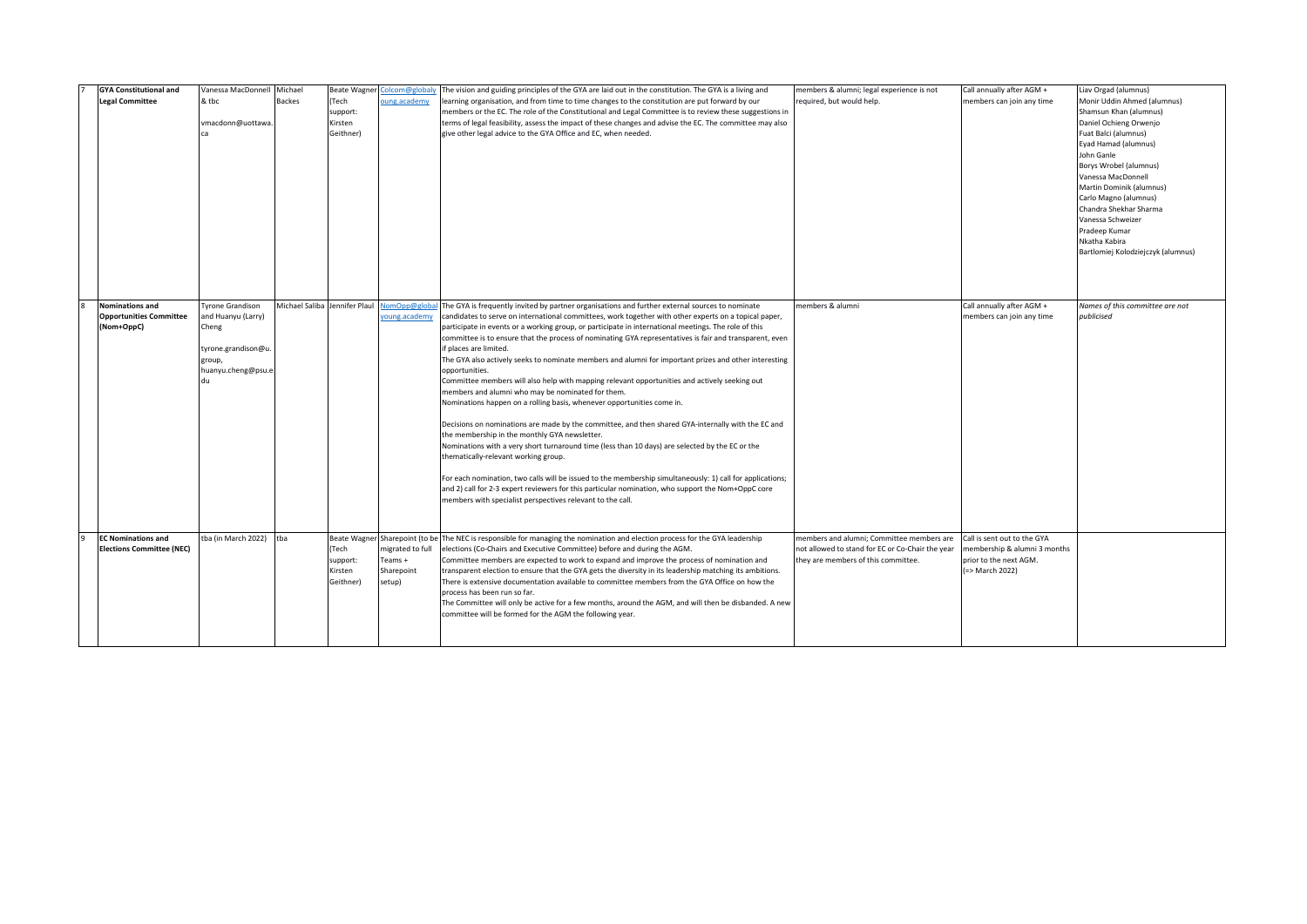| <b>GYA Constitutional and</b>                            | Vanessa MacDonnell Michael                    |                |                   | Beate Wagner Colcom@globaly    | The vision and guiding principles of the GYA are laid out in the constitution. The GYA is a living and                                                                                                     | members & alumni; legal experience is not        | Call annually after AGM +                              | Liav Orgad (alumnus)                                  |
|----------------------------------------------------------|-----------------------------------------------|----------------|-------------------|--------------------------------|------------------------------------------------------------------------------------------------------------------------------------------------------------------------------------------------------------|--------------------------------------------------|--------------------------------------------------------|-------------------------------------------------------|
| <b>Legal Committee</b>                                   | & tbc                                         | <b>Backes</b>  | (Tech<br>support: | oung.academy                   | learning organisation, and from time to time changes to the constitution are put forward by our<br>members or the EC. The role of the Constitutional and Legal Committee is to review these suggestions in | required, but would help.                        | members can join any time                              | Monir Uddin Ahmed (alumnus)<br>Shamsun Khan (alumnus) |
|                                                          | vmacdonn@uottawa.                             |                | Kirsten           |                                | terms of legal feasibility, assess the impact of these changes and advise the EC. The committee may also                                                                                                   |                                                  |                                                        | Daniel Ochieng Orwenjo                                |
|                                                          |                                               |                | Geithner)         |                                | give other legal advice to the GYA Office and EC, when needed.                                                                                                                                             |                                                  |                                                        | Fuat Balci (alumnus)                                  |
|                                                          |                                               |                |                   |                                |                                                                                                                                                                                                            |                                                  |                                                        | Eyad Hamad (alumnus)                                  |
|                                                          |                                               |                |                   |                                |                                                                                                                                                                                                            |                                                  |                                                        | John Ganle                                            |
|                                                          |                                               |                |                   |                                |                                                                                                                                                                                                            |                                                  |                                                        | Borys Wrobel (alumnus)                                |
|                                                          |                                               |                |                   |                                |                                                                                                                                                                                                            |                                                  |                                                        | Vanessa MacDonnell<br>Martin Dominik (alumnus)        |
|                                                          |                                               |                |                   |                                |                                                                                                                                                                                                            |                                                  |                                                        | Carlo Magno (alumnus)                                 |
|                                                          |                                               |                |                   |                                |                                                                                                                                                                                                            |                                                  |                                                        | Chandra Shekhar Sharma                                |
|                                                          |                                               |                |                   |                                |                                                                                                                                                                                                            |                                                  |                                                        | Vanessa Schweizer                                     |
|                                                          |                                               |                |                   |                                |                                                                                                                                                                                                            |                                                  |                                                        | Pradeep Kumar                                         |
|                                                          |                                               |                |                   |                                |                                                                                                                                                                                                            |                                                  |                                                        | Nkatha Kabira                                         |
|                                                          |                                               |                |                   |                                |                                                                                                                                                                                                            |                                                  |                                                        | Bartlomiej Kolodziejczyk (alumnus)                    |
|                                                          |                                               |                |                   |                                |                                                                                                                                                                                                            |                                                  |                                                        |                                                       |
|                                                          |                                               |                |                   |                                |                                                                                                                                                                                                            |                                                  |                                                        |                                                       |
|                                                          |                                               |                |                   |                                |                                                                                                                                                                                                            |                                                  |                                                        |                                                       |
| <b>Nominations and</b><br><b>Opportunities Committee</b> | <b>Tyrone Grandison</b><br>and Huanyu (Larry) | Michael Saliba | Jennifer Plaul    | NomOpp@globa<br>oung.academy   | The GYA is frequently invited by partner organisations and further external sources to nominate<br>candidates to serve on international committees, work together with other experts on a topical paper,   | members & alumni                                 | Call annually after AGM +<br>members can join any time | Names of this committee are not<br>publicised         |
| (Nom+OppC)                                               | Cheng                                         |                |                   |                                | participate in events or a working group, or participate in international meetings. The role of this                                                                                                       |                                                  |                                                        |                                                       |
|                                                          |                                               |                |                   |                                | committee is to ensure that the process of nominating GYA representatives is fair and transparent, even                                                                                                    |                                                  |                                                        |                                                       |
|                                                          | tyrone.grandison@u                            |                |                   |                                | if places are limited.                                                                                                                                                                                     |                                                  |                                                        |                                                       |
|                                                          | group,                                        |                |                   |                                | The GYA also actively seeks to nominate members and alumni for important prizes and other interesting                                                                                                      |                                                  |                                                        |                                                       |
|                                                          | huanyu.cheng@psu.e                            |                |                   |                                | opportunities.<br>Committee members will also help with mapping relevant opportunities and actively seeking out                                                                                            |                                                  |                                                        |                                                       |
|                                                          |                                               |                |                   |                                | members and alumni who may be nominated for them.                                                                                                                                                          |                                                  |                                                        |                                                       |
|                                                          |                                               |                |                   |                                | Nominations happen on a rolling basis, whenever opportunities come in.                                                                                                                                     |                                                  |                                                        |                                                       |
|                                                          |                                               |                |                   |                                |                                                                                                                                                                                                            |                                                  |                                                        |                                                       |
|                                                          |                                               |                |                   |                                | Decisions on nominations are made by the committee, and then shared GYA-internally with the EC and                                                                                                         |                                                  |                                                        |                                                       |
|                                                          |                                               |                |                   |                                | the membership in the monthly GYA newsletter.<br>Nominations with a very short turnaround time (less than 10 days) are selected by the EC or the                                                           |                                                  |                                                        |                                                       |
|                                                          |                                               |                |                   |                                | thematically-relevant working group.                                                                                                                                                                       |                                                  |                                                        |                                                       |
|                                                          |                                               |                |                   |                                |                                                                                                                                                                                                            |                                                  |                                                        |                                                       |
|                                                          |                                               |                |                   |                                | For each nomination, two calls will be issued to the membership simultaneously: 1) call for applications;                                                                                                  |                                                  |                                                        |                                                       |
|                                                          |                                               |                |                   |                                | and 2) call for 2-3 expert reviewers for this particular nomination, who support the Nom+OppC core                                                                                                         |                                                  |                                                        |                                                       |
|                                                          |                                               |                |                   |                                | members with specialist perspectives relevant to the call.                                                                                                                                                 |                                                  |                                                        |                                                       |
|                                                          |                                               |                |                   |                                |                                                                                                                                                                                                            |                                                  |                                                        |                                                       |
| <b>EC Nominations and</b>                                | tba (in March 2022)                           | tha            |                   | Beate Wagner Sharepoint (to be | The NEC is responsible for managing the nomination and election process for the GYA leadership                                                                                                             | members and alumni; Committee members are        | Call is sent out to the GYA                            |                                                       |
| <b>Elections Committee (NEC)</b>                         |                                               |                | Tech              | migrated to full               | elections (Co-Chairs and Executive Committee) before and during the AGM.                                                                                                                                   | not allowed to stand for EC or Co-Chair the year | membership & alumni 3 months                           |                                                       |
|                                                          |                                               |                | support:          | Teams +                        | Committee members are expected to work to expand and improve the process of nomination and                                                                                                                 | they are members of this committee.              | prior to the next AGM.                                 |                                                       |
|                                                          |                                               |                | Kirsten           | Sharepoint                     | transparent election to ensure that the GYA gets the diversity in its leadership matching its ambitions.                                                                                                   |                                                  | (=> March 2022)                                        |                                                       |
|                                                          |                                               |                | Geithner)         | setup)                         | There is extensive documentation available to committee members from the GYA Office on how the                                                                                                             |                                                  |                                                        |                                                       |
|                                                          |                                               |                |                   |                                | process has been run so far.<br>The Committee will only be active for a few months, around the AGM, and will then be disbanded. A new                                                                      |                                                  |                                                        |                                                       |
|                                                          |                                               |                |                   |                                | committee will be formed for the AGM the following year.                                                                                                                                                   |                                                  |                                                        |                                                       |
|                                                          |                                               |                |                   |                                |                                                                                                                                                                                                            |                                                  |                                                        |                                                       |
|                                                          |                                               |                |                   |                                |                                                                                                                                                                                                            |                                                  |                                                        |                                                       |